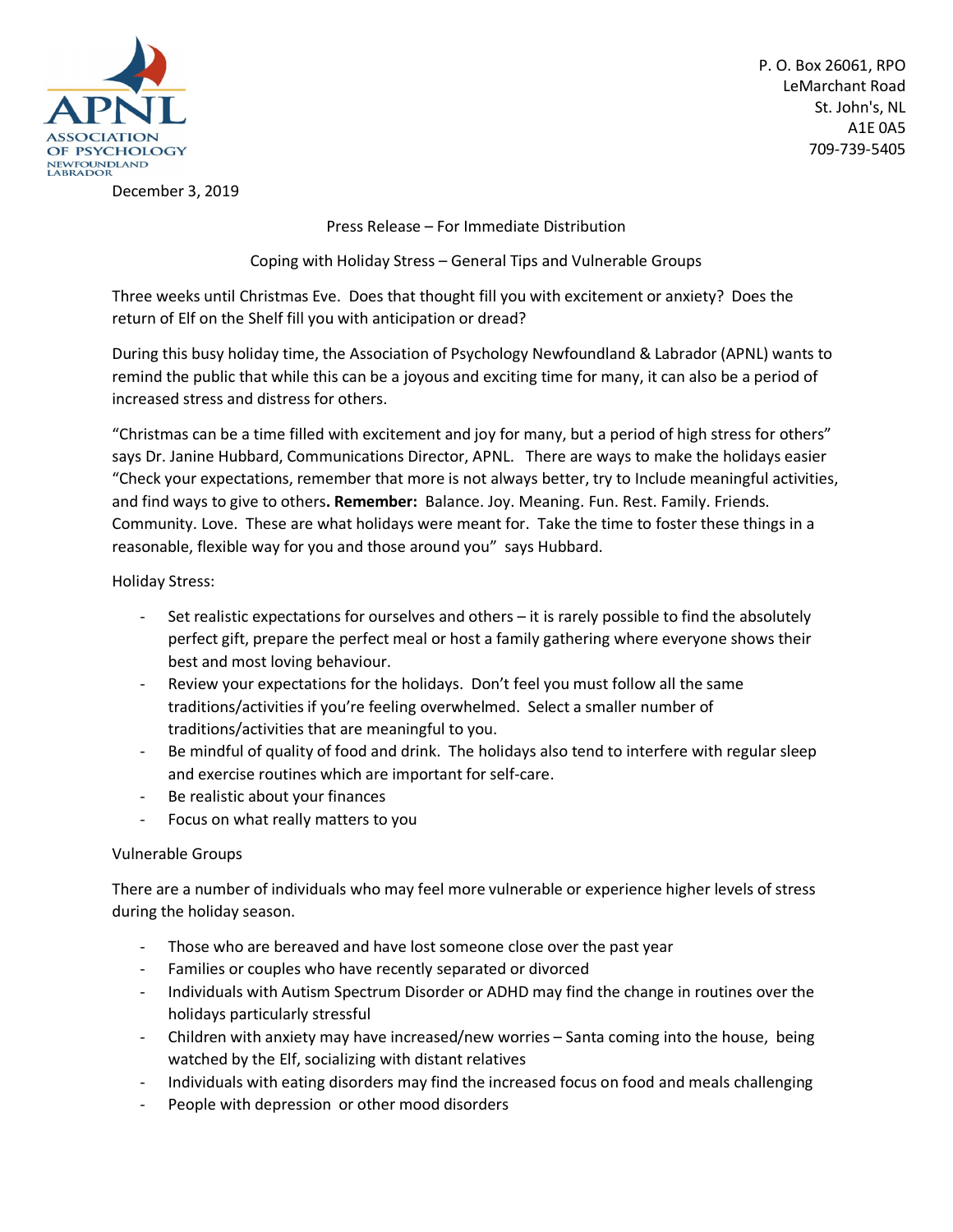

P. O. Box 26061, RPO LeMarchant Road St. John's, NL A1E 0A5 709-739-5405

December 3, 2019

Press Release – For Immediate Distribution

Coping with Holiday Stress – General Tips and Vulnerable Groups

Three weeks until Christmas Eve. Does that thought fill you with excitement or anxiety? Does the return of Elf on the Shelf fill you with anticipation or dread?

During this busy holiday time, the Association of Psychology Newfoundland & Labrador (APNL) wants to remind the public that while this can be a joyous and exciting time for many, it can also be a period of increased stress and distress for others.

"Christmas can be a time filled with excitement and joy for many, but a period of high stress for others" says Dr. Janine Hubbard, Communications Director, APNL. There are ways to make the holidays easier "Check your expectations, remember that more is not always better, try to Include meaningful activities, and find ways to give to others**. Remember:** Balance. Joy. Meaning. Fun. Rest. Family. Friends. Community. Love. These are what holidays were meant for. Take the time to foster these things in a reasonable, flexible way for you and those around you" says Hubbard.

Holiday Stress:

- Set realistic expectations for ourselves and others it is rarely possible to find the absolutely perfect gift, prepare the perfect meal or host a family gathering where everyone shows their best and most loving behaviour.
- Review your expectations for the holidays. Don't feel you must follow all the same traditions/activities if you're feeling overwhelmed. Select a smaller number of traditions/activities that are meaningful to you.
- Be mindful of quality of food and drink. The holidays also tend to interfere with regular sleep and exercise routines which are important for self-care.
- Be realistic about your finances
- Focus on what really matters to you

## Vulnerable Groups

There are a number of individuals who may feel more vulnerable or experience higher levels of stress during the holiday season.

- Those who are bereaved and have lost someone close over the past year
- Families or couples who have recently separated or divorced
- Individuals with Autism Spectrum Disorder or ADHD may find the change in routines over the holidays particularly stressful
- Children with anxiety may have increased/new worries Santa coming into the house, being watched by the Elf, socializing with distant relatives
- Individuals with eating disorders may find the increased focus on food and meals challenging
- People with depression or other mood disorders